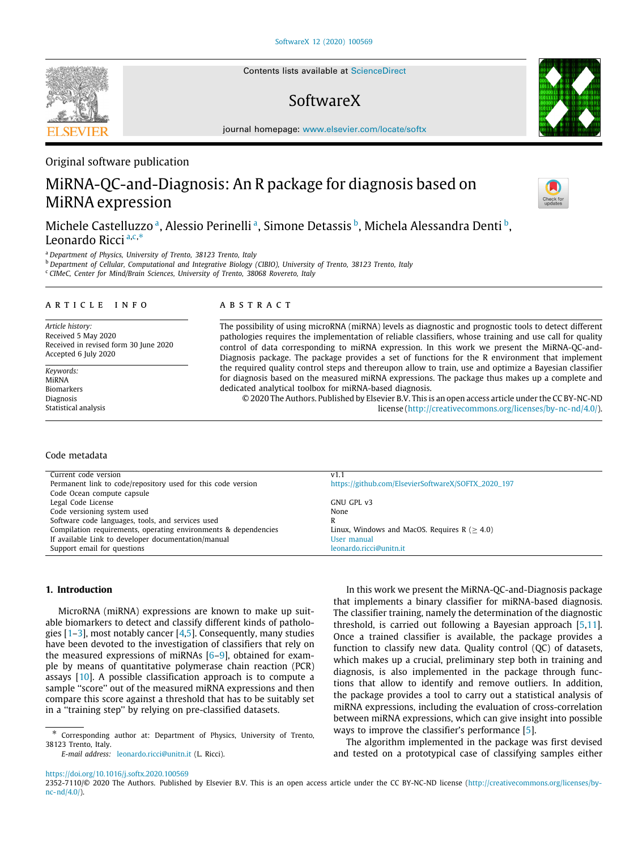Contents lists available at [ScienceDirect](http://www.elsevier.com/locate/softx)

# SoftwareX

journal homepage: [www.elsevier.com/locate/softx](http://www.elsevier.com/locate/softx)

# Original software publication

# MiRNA-QC-and-Diagnosis: An R package for diagnosis based on MiRNA expression

Michele C[a](#page-0-0)stelluzzo <sup>a</sup>, Alessio Perinelli <sup>a</sup>, Simone Detassis <sup>[b](#page-0-1)</sup>, Michela Alessandra Denti <sup>b</sup>, Leonardo Ricci [a](#page-0-0),[c](#page-0-2),[∗](#page-0-3)

<span id="page-0-0"></span><sup>a</sup> *Department of Physics, University of Trento, 38123 Trento, Italy*

<span id="page-0-1"></span><sup>b</sup> *Department of Cellular, Computational and Integrative Biology (CIBIO), University of Trento, 38123 Trento, Italy*

<span id="page-0-2"></span><sup>c</sup> *CIMeC, Center for Mind/Brain Sciences, University of Trento, 38068 Rovereto, Italy*

### ARTICLE INFO

*Article history:* Received 5 May 2020 Received in revised form 30 June 2020 Accepted 6 July 2020

*Keywords:* MiRNA Biomarkers Diagnosis Statistical analysis

### a b s t r a c t

The possibility of using microRNA (miRNA) levels as diagnostic and prognostic tools to detect different pathologies requires the implementation of reliable classifiers, whose training and use call for quality control of data corresponding to miRNA expression. In this work we present the MiRNA-QC-and-Diagnosis package. The package provides a set of functions for the R environment that implement the required quality control steps and thereupon allow to train, use and optimize a Bayesian classifier for diagnosis based on the measured miRNA expressions. The package thus makes up a complete and dedicated analytical toolbox for miRNA-based diagnosis.

© 2020 The Authors. Published by Elsevier B.V. This is an open access article under the CC BY-NC-ND license (<http://creativecommons.org/licenses/by-nc-nd/4.0/>).

### Code metadata

| Current code version                                            | V1.1                                                |
|-----------------------------------------------------------------|-----------------------------------------------------|
| Permanent link to code/repository used for this code version    | https://github.com/ElsevierSoftwareX/SOFTX_2020_197 |
| Code Ocean compute capsule                                      |                                                     |
| Legal Code License                                              | GNU GPL v3                                          |
| Code versioning system used                                     | None                                                |
| Software code languages, tools, and services used               | R                                                   |
| Compilation requirements, operating environments & dependencies | Linux, Windows and MacOS, Requires $R$ ( $>$ 4.0)   |
| If available Link to developer documentation/manual             | User manual                                         |
| Support email for questions                                     | leonardo.ricci@unitn.it                             |

# **1. Introduction**

MicroRNA (miRNA) expressions are known to make up suitable biomarkers to detect and classify different kinds of pathologies  $[1-3]$  $[1-3]$  $[1-3]$ , most notably cancer  $[4,5]$  $[4,5]$ . Consequently, many studies have been devoted to the investigation of classifiers that rely on the measured expressions of miRNAs [\[6](#page-5-4)–[9\]](#page-5-5), obtained for example by means of quantitative polymerase chain reaction (PCR) assays [[10](#page-5-6)]. A possible classification approach is to compute a sample "score" out of the measured miRNA expressions and then compare this score against a threshold that has to be suitably set in a ''training step'' by relying on pre-classified datasets.

*E-mail address:* [leonardo.ricci@unitn.it](mailto:leonardo.ricci@unitn.it) (L. Ricci).

In this work we present the MiRNA-QC-and-Diagnosis package that implements a binary classifier for miRNA-based diagnosis. The classifier training, namely the determination of the diagnostic threshold, is carried out following a Bayesian approach [\[5](#page-5-3)[,11\]](#page-5-7). Once a trained classifier is available, the package provides a function to classify new data. Quality control (QC) of datasets, which makes up a crucial, preliminary step both in training and diagnosis, is also implemented in the package through functions that allow to identify and remove outliers. In addition, the package provides a tool to carry out a statistical analysis of miRNA expressions, including the evaluation of cross-correlation between miRNA expressions, which can give insight into possible ways to improve the classifier's performance [\[5](#page-5-3)].

The algorithm implemented in the package was first devised and tested on a prototypical case of classifying samples either

#### <https://doi.org/10.1016/j.softx.2020.100569>

2352-7110/© 2020 The Authors. Published by Elsevier B.V. This is an open access article under the CC BY-NC-ND license [\(http://creativecommons.org/licenses/by](http://creativecommons.org/licenses/by-nc-nd/4.0/) $nc-nd/4.0/$ ).







<span id="page-0-3"></span><sup>∗</sup> Corresponding author at: Department of Physics, University of Trento, 38123 Trento, Italy.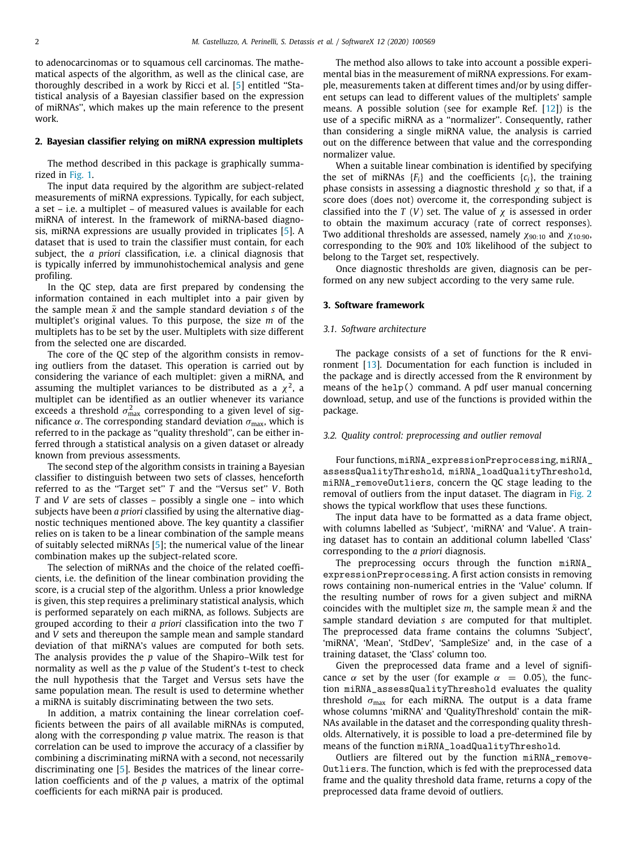to adenocarcinomas or to squamous cell carcinomas. The mathematical aspects of the algorithm, as well as the clinical case, are thoroughly described in a work by Ricci et al. [\[5](#page-5-3)] entitled ''Statistical analysis of a Bayesian classifier based on the expression of miRNAs'', which makes up the main reference to the present work.

#### **2. Bayesian classifier relying on miRNA expression multiplets**

The method described in this package is graphically summarized in [Fig.](#page-2-0) [1.](#page-2-0)

The input data required by the algorithm are subject-related measurements of miRNA expressions. Typically, for each subject, a set – i.e. a multiplet – of measured values is available for each miRNA of interest. In the framework of miRNA-based diagnosis, miRNA expressions are usually provided in triplicates [\[5](#page-5-3)]. A dataset that is used to train the classifier must contain, for each subject, the *a priori* classification, i.e. a clinical diagnosis that is typically inferred by immunohistochemical analysis and gene profiling.

In the QC step, data are first prepared by condensing the information contained in each multiplet into a pair given by the sample mean  $\bar{x}$  and the sample standard deviation *s* of the multiplet's original values. To this purpose, the size *m* of the multiplets has to be set by the user. Multiplets with size different from the selected one are discarded.

The core of the QC step of the algorithm consists in removing outliers from the dataset. This operation is carried out by considering the variance of each multiplet: given a miRNA, and assuming the multiplet variances to be distributed as a  $\chi^2$ , a multiplet can be identified as an outlier whenever its variance exceeds a threshold  $\sigma_{\max}^2$  corresponding to a given level of significance α. The corresponding standard deviation  $σ<sub>max</sub>$ , which is referred to in the package as ''quality threshold'', can be either inferred through a statistical analysis on a given dataset or already known from previous assessments.

The second step of the algorithm consists in training a Bayesian classifier to distinguish between two sets of classes, henceforth referred to as the ''Target set'' *T* and the ''Versus set'' *V*. Both *T* and *V* are sets of classes – possibly a single one – into which subjects have been *a priori* classified by using the alternative diagnostic techniques mentioned above. The key quantity a classifier relies on is taken to be a linear combination of the sample means of suitably selected miRNAs [[5\]](#page-5-3); the numerical value of the linear combination makes up the subject-related score.

The selection of miRNAs and the choice of the related coefficients, i.e. the definition of the linear combination providing the score, is a crucial step of the algorithm. Unless a prior knowledge is given, this step requires a preliminary statistical analysis, which is performed separately on each miRNA, as follows. Subjects are grouped according to their *a priori* classification into the two *T* and *V* sets and thereupon the sample mean and sample standard deviation of that miRNA's values are computed for both sets. The analysis provides the *p* value of the Shapiro–Wilk test for normality as well as the *p* value of the Student's t-test to check the null hypothesis that the Target and Versus sets have the same population mean. The result is used to determine whether a miRNA is suitably discriminating between the two sets.

In addition, a matrix containing the linear correlation coefficients between the pairs of all available miRNAs is computed, along with the corresponding *p* value matrix. The reason is that correlation can be used to improve the accuracy of a classifier by combining a discriminating miRNA with a second, not necessarily discriminating one [[5\]](#page-5-3). Besides the matrices of the linear correlation coefficients and of the *p* values, a matrix of the optimal coefficients for each miRNA pair is produced.

The method also allows to take into account a possible experimental bias in the measurement of miRNA expressions. For example, measurements taken at different times and/or by using different setups can lead to different values of the multiplets' sample means. A possible solution (see for example Ref. [\[12\]](#page-5-8)) is the use of a specific miRNA as a ''normalizer''. Consequently, rather than considering a single miRNA value, the analysis is carried out on the difference between that value and the corresponding normalizer value.

When a suitable linear combination is identified by specifying the set of miRNAs  ${F_i}$  and the coefficients  ${c_i}$ , the training phase consists in assessing a diagnostic threshold  $\chi$  so that, if a score does (does not) overcome it, the corresponding subject is classified into the *T* (*V*) set. The value of  $\chi$  is assessed in order to obtain the maximum accuracy (rate of correct responses). Two additional thresholds are assessed, namely  $\chi_{90:10}$  and  $\chi_{10:90}$ , corresponding to the 90% and 10% likelihood of the subject to belong to the Target set, respectively.

Once diagnostic thresholds are given, diagnosis can be performed on any new subject according to the very same rule.

# **3. Software framework**

# *3.1. Software architecture*

The package consists of a set of functions for the R environment [\[13\]](#page-5-9). Documentation for each function is included in the package and is directly accessed from the R environment by means of the help() command. A pdf user manual concerning download, setup, and use of the functions is provided within the package.

# *3.2. Quality control: preprocessing and outlier removal*

Four functions, miRNA\_expressionPreprocessing, miRNA\_ assessQualityThreshold, miRNA\_loadQualityThreshold, miRNA\_removeOutliers, concern the QC stage leading to the removal of outliers from the input dataset. The diagram in [Fig.](#page-2-1) [2](#page-2-1) shows the typical workflow that uses these functions.

The input data have to be formatted as a data frame object, with columns labelled as 'Subject', 'miRNA' and 'Value'. A training dataset has to contain an additional column labelled 'Class' corresponding to the *a priori* diagnosis.

The preprocessing occurs through the function miRNA\_ expressionPreprocessing. A first action consists in removing rows containing non-numerical entries in the 'Value' column. If the resulting number of rows for a given subject and miRNA coincides with the multiplet size  $m$ , the sample mean  $\bar{x}$  and the sample standard deviation *s* are computed for that multiplet. The preprocessed data frame contains the columns 'Subject', 'miRNA', 'Mean', 'StdDev', 'SampleSize' and, in the case of a training dataset, the 'Class' column too.

Given the preprocessed data frame and a level of significance  $\alpha$  set by the user (for example  $\alpha = 0.05$ ), the function miRNA\_assessQualityThreshold evaluates the quality threshold  $\sigma_{\text{max}}$  for each miRNA. The output is a data frame whose columns 'miRNA' and 'QualityThreshold' contain the miR-NAs available in the dataset and the corresponding quality thresholds. Alternatively, it is possible to load a pre-determined file by means of the function miRNA\_loadQualityThreshold.

Outliers are filtered out by the function miRNA\_remove-Outliers. The function, which is fed with the preprocessed data frame and the quality threshold data frame, returns a copy of the preprocessed data frame devoid of outliers.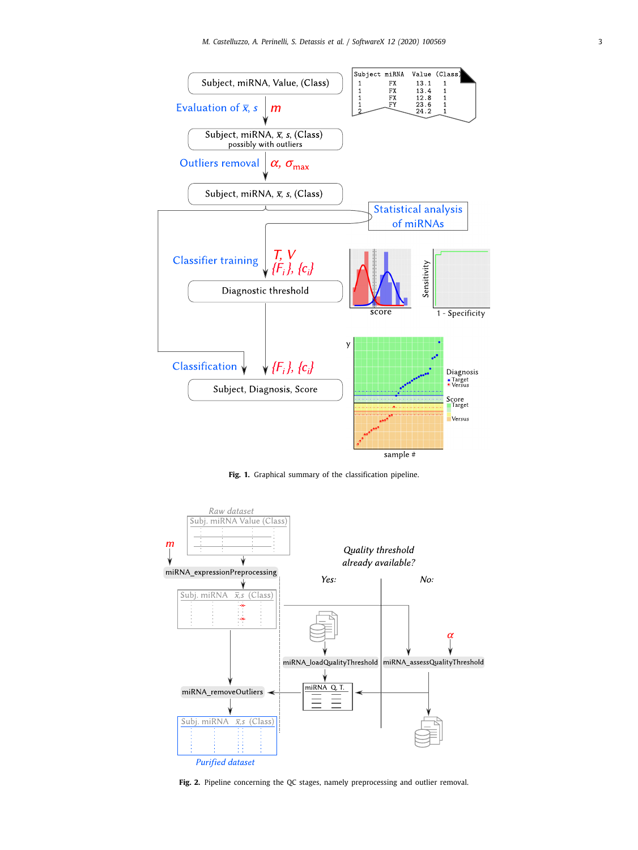

**Fig. 1.** Graphical summary of the classification pipeline.

<span id="page-2-0"></span>

<span id="page-2-1"></span>**Fig. 2.** Pipeline concerning the QC stages, namely preprocessing and outlier removal.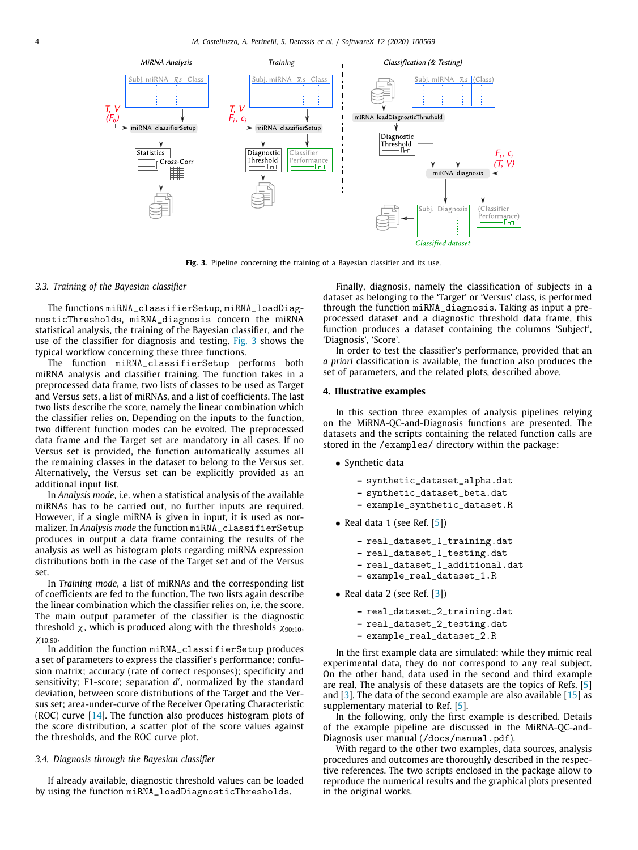

Fig. 3. Pipeline concerning the training of a Bayesian classifier and its use.

# <span id="page-3-0"></span>*3.3. Training of the Bayesian classifier*

The functions miRNA\_classifierSetup, miRNA\_loadDiagnosticThresholds, miRNA\_diagnosis concern the miRNA statistical analysis, the training of the Bayesian classifier, and the use of the classifier for diagnosis and testing. [Fig.](#page-3-0) [3](#page-3-0) shows the typical workflow concerning these three functions.

The function miRNA\_classifierSetup performs both miRNA analysis and classifier training. The function takes in a preprocessed data frame, two lists of classes to be used as Target and Versus sets, a list of miRNAs, and a list of coefficients. The last two lists describe the score, namely the linear combination which the classifier relies on. Depending on the inputs to the function, two different function modes can be evoked. The preprocessed data frame and the Target set are mandatory in all cases. If no Versus set is provided, the function automatically assumes all the remaining classes in the dataset to belong to the Versus set. Alternatively, the Versus set can be explicitly provided as an additional input list.

In *Analysis mode*, i.e. when a statistical analysis of the available miRNAs has to be carried out, no further inputs are required. However, if a single miRNA is given in input, it is used as normalizer. In *Analysis mode* the function miRNA\_classifierSetup produces in output a data frame containing the results of the analysis as well as histogram plots regarding miRNA expression distributions both in the case of the Target set and of the Versus set.

In *Training mode*, a list of miRNAs and the corresponding list of coefficients are fed to the function. The two lists again describe the linear combination which the classifier relies on, i.e. the score. The main output parameter of the classifier is the diagnostic threshold  $\chi$ , which is produced along with the thresholds  $\chi_{90:10}$ ,  $X10:90$ 

In addition the function miRNA\_classifierSetup produces a set of parameters to express the classifier's performance: confusion matrix; accuracy (rate of correct responses); specificity and sensitivity; F1-score; separation d', normalized by the standard deviation, between score distributions of the Target and the Versus set; area-under-curve of the Receiver Operating Characteristic (ROC) curve [\[14](#page-5-10)]. The function also produces histogram plots of the score distribution, a scatter plot of the score values against the thresholds, and the ROC curve plot.

# *3.4. Diagnosis through the Bayesian classifier*

If already available, diagnostic threshold values can be loaded by using the function miRNA\_loadDiagnosticThresholds.

Finally, diagnosis, namely the classification of subjects in a dataset as belonging to the 'Target' or 'Versus' class, is performed through the function miRNA\_diagnosis. Taking as input a preprocessed dataset and a diagnostic threshold data frame, this function produces a dataset containing the columns 'Subject', 'Diagnosis', 'Score'.

In order to test the classifier's performance, provided that an *a priori* classification is available, the function also produces the set of parameters, and the related plots, described above.

# **4. Illustrative examples**

In this section three examples of analysis pipelines relying on the MiRNA-QC-and-Diagnosis functions are presented. The datasets and the scripts containing the related function calls are stored in the /examples/ directory within the package:

- Synthetic data
	- **–** synthetic\_dataset\_alpha.dat
	- **–** synthetic\_dataset\_beta.dat
	- **–** example\_synthetic\_dataset.R
- Real data 1 (see Ref.  $[5]$ )
	- **–** real\_dataset\_1\_training.dat
	- **–** real\_dataset\_1\_testing.dat
	- **–** real\_dataset\_1\_additional.dat
	- **–** example\_real\_dataset\_1.R
- Real data 2 (see Ref.  $[3]$ )
	- **–** real\_dataset\_2\_training.dat
	- **–** real\_dataset\_2\_testing.dat
	- **–** example\_real\_dataset\_2.R

In the first example data are simulated: while they mimic real experimental data, they do not correspond to any real subject. On the other hand, data used in the second and third example are real. The analysis of these datasets are the topics of Refs. [[5\]](#page-5-3) and  $[3]$  $[3]$ . The data of the second example are also available  $[15]$  $[15]$  $[15]$  as supplementary material to Ref. [[5](#page-5-3)].

In the following, only the first example is described. Details of the example pipeline are discussed in the MiRNA-QC-and-Diagnosis user manual (/docs/manual.pdf).

With regard to the other two examples, data sources, analysis procedures and outcomes are thoroughly described in the respective references. The two scripts enclosed in the package allow to reproduce the numerical results and the graphical plots presented in the original works.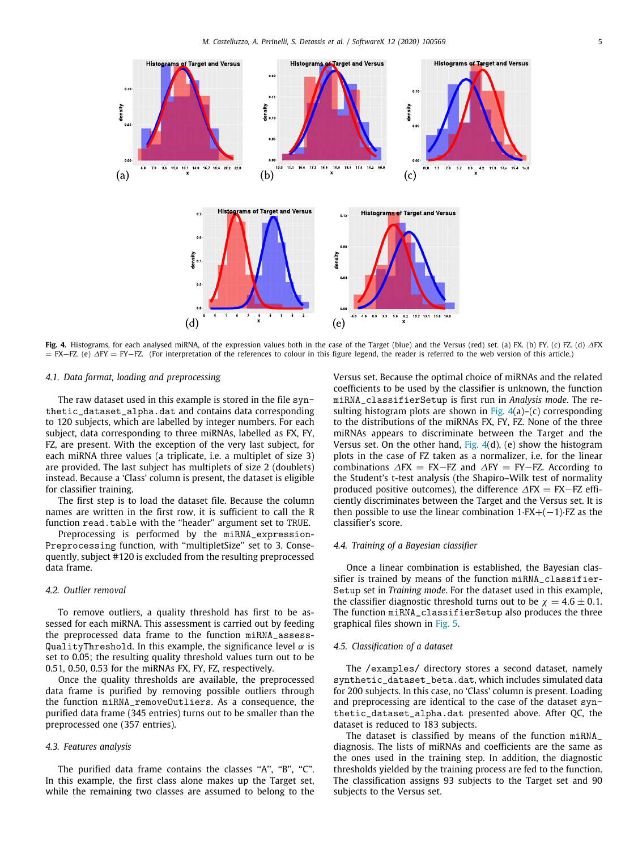

<span id="page-4-0"></span>**Fig. 4.** Histograms, for each analysed miRNA, of the expression values both in the case of the Target (blue) and the Versus (red) set. (a) FX. (b) FY. (c) FZ. (d) ∆FX = FX−FZ. (e) ∆FY = FY−FZ. (For interpretation of the references to colour in this figure legend, the reader is referred to the web version of this article.)

### *4.1. Data format, loading and preprocessing*

The raw dataset used in this example is stored in the file synthetic\_dataset\_alpha.dat and contains data corresponding to 120 subjects, which are labelled by integer numbers. For each subject, data corresponding to three miRNAs, labelled as FX, FY, FZ, are present. With the exception of the very last subject, for each miRNA three values (a triplicate, i.e. a multiplet of size 3) are provided. The last subject has multiplets of size 2 (doublets) instead. Because a 'Class' column is present, the dataset is eligible for classifier training.

The first step is to load the dataset file. Because the column names are written in the first row, it is sufficient to call the R function read.table with the "header" argument set to TRUE.

Preprocessing is performed by the miRNA\_expression-Preprocessing function, with ''multipletSize'' set to 3. Consequently, subject #120 is excluded from the resulting preprocessed data frame.

# *4.2. Outlier removal*

To remove outliers, a quality threshold has first to be assessed for each miRNA. This assessment is carried out by feeding the preprocessed data frame to the function miRNA\_assess-QualityThreshold. In this example, the significance level  $\alpha$  is set to 0.05; the resulting quality threshold values turn out to be 0.51, 0.50, 0.53 for the miRNAs FX, FY, FZ, respectively.

Once the quality thresholds are available, the preprocessed data frame is purified by removing possible outliers through the function miRNA\_removeOutliers. As a consequence, the purified data frame (345 entries) turns out to be smaller than the preprocessed one (357 entries).

### *4.3. Features analysis*

The purified data frame contains the classes "A", "B", "C". In this example, the first class alone makes up the Target set, while the remaining two classes are assumed to belong to the Versus set. Because the optimal choice of miRNAs and the related coefficients to be used by the classifier is unknown, the function miRNA\_classifierSetup is first run in *Analysis mode*. The re-sulting histogram plots are shown in [Fig.](#page-4-0)  $4(a)$  $4(a)$ –(c) corresponding to the distributions of the miRNAs FX, FY, FZ. None of the three miRNAs appears to discriminate between the Target and the Versus set. On the other hand,  $Fig. 4(d)$  $Fig. 4(d)$  $Fig. 4(d)$  $Fig. 4(d)$ , (e) show the histogram plots in the case of FZ taken as a normalizer, i.e. for the linear combinations  $\Delta FX = FX-FZ$  and  $\Delta FY = FY-FZ$ . According to the Student's t-test analysis (the Shapiro–Wilk test of normality produced positive outcomes), the difference  $\Delta FX = FX-FZ$  efficiently discriminates between the Target and the Versus set. It is then possible to use the linear combination  $1·FX + (-1)·FZ$  as the classifier's score.

# *4.4. Training of a Bayesian classifier*

Once a linear combination is established, the Bayesian classifier is trained by means of the function miRNA\_classifier-Setup set in *Training mode*. For the dataset used in this example, the classifier diagnostic threshold turns out to be  $\chi = 4.6 \pm 0.1$ . The function miRNA\_classifierSetup also produces the three graphical files shown in [Fig.](#page-5-12) [5.](#page-5-12)

# *4.5. Classification of a dataset*

The /examples/ directory stores a second dataset, namely synthetic\_dataset\_beta.dat, which includes simulated data for 200 subjects. In this case, no 'Class' column is present. Loading and preprocessing are identical to the case of the dataset synthetic\_dataset\_alpha.dat presented above. After QC, the dataset is reduced to 183 subjects.

The dataset is classified by means of the function miRNA\_ diagnosis. The lists of miRNAs and coefficients are the same as the ones used in the training step. In addition, the diagnostic thresholds yielded by the training process are fed to the function. The classification assigns 93 subjects to the Target set and 90 subjects to the Versus set.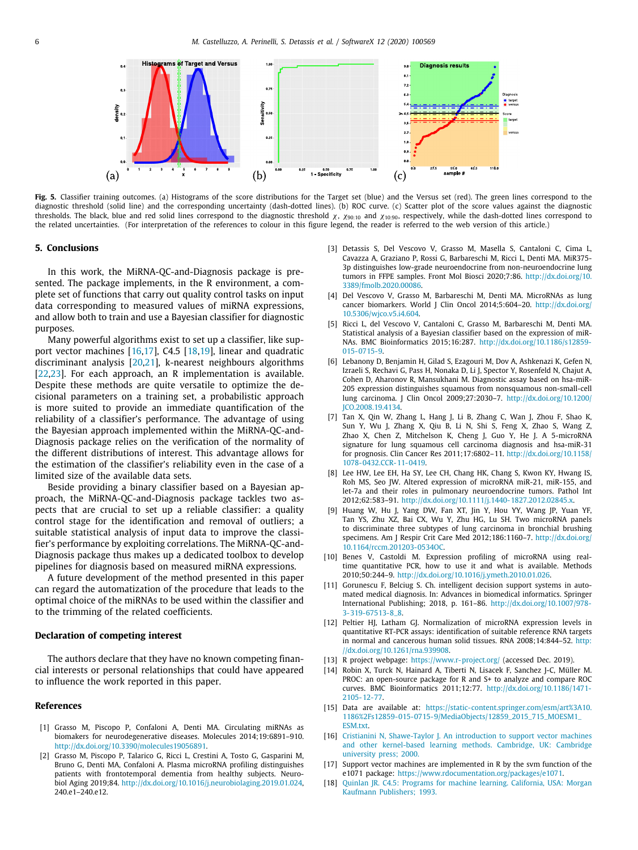

<span id="page-5-12"></span>Fig. 5. Classifier training outcomes. (a) Histograms of the score distributions for the Target set (blue) and the Versus set (red). The green lines correspond to the diagnostic threshold (solid line) and the corresponding uncertainty (dash-dotted lines). (b) ROC curve. (c) Scatter plot of the score values against the diagnostic thresholds. The black, blue and red solid lines correspond to the diagnostic threshold  $\chi$ ,  $\chi_{90:10}$  and  $\chi_{10:90}$ , respectively, while the dash-dotted lines correspond to the related uncertainties. (For interpretation of the references to colour in this figure legend, the reader is referred to the web version of this article.)

### **5. Conclusions**

In this work, the MiRNA-QC-and-Diagnosis package is presented. The package implements, in the R environment, a complete set of functions that carry out quality control tasks on input data corresponding to measured values of miRNA expressions, and allow both to train and use a Bayesian classifier for diagnostic purposes.

Many powerful algorithms exist to set up a classifier, like support vector machines  $[16,17]$  $[16,17]$  $[16,17]$ , C4.5  $[18,19]$  $[18,19]$  $[18,19]$  $[18,19]$ , linear and quadratic discriminant analysis [[20](#page-6-1)[,21\]](#page-6-2), k-nearest neighbours algorithms [[22](#page-6-3)[,23\]](#page-6-4). For each approach, an R implementation is available. Despite these methods are quite versatile to optimize the decisional parameters on a training set, a probabilistic approach is more suited to provide an immediate quantification of the reliability of a classifier's performance. The advantage of using the Bayesian approach implemented within the MiRNA-QC-and-Diagnosis package relies on the verification of the normality of the different distributions of interest. This advantage allows for the estimation of the classifier's reliability even in the case of a limited size of the available data sets.

Beside providing a binary classifier based on a Bayesian approach, the MiRNA-QC-and-Diagnosis package tackles two aspects that are crucial to set up a reliable classifier: a quality control stage for the identification and removal of outliers; a suitable statistical analysis of input data to improve the classifier's performance by exploiting correlations. The MiRNA-QC-and-Diagnosis package thus makes up a dedicated toolbox to develop pipelines for diagnosis based on measured miRNA expressions.

A future development of the method presented in this paper can regard the automatization of the procedure that leads to the optimal choice of the miRNAs to be used within the classifier and to the trimming of the related coefficients.

# **Declaration of competing interest**

The authors declare that they have no known competing financial interests or personal relationships that could have appeared to influence the work reported in this paper.

# **References**

- <span id="page-5-0"></span>[1] Grasso M, Piscopo P, Confaloni A, Denti MA. Circulating miRNAs as biomakers for neurodegenerative diseases. Molecules 2014;19:6891–910. <http://dx.doi.org/10.3390/molecules19056891>.
- [2] Grasso M, Piscopo P, Talarico G, Ricci L, Crestini A, Tosto G, Gasparini M, Bruno G, Denti MA, Confaloni A. Plasma microRNA profiling distinguishes patients with frontotemporal dementia from healthy subjects. Neurobiol Aging 2019;84. <http://dx.doi.org/10.1016/j.neurobiolaging.2019.01.024>, 240.e1–240.e12.
- <span id="page-5-1"></span>[3] Detassis S, Del Vescovo V, Grasso M, Masella S, Cantaloni C, Cima L, Cavazza A, Graziano P, Rossi G, Barbareschi M, Ricci L, Denti MA. MiR375- 3p distinguishes low-grade neuroendocrine from non-neuroendocrine lung tumors in FFPE samples. Front Mol Biosci 2020;7:86. [http://dx.doi.org/10.](http://dx.doi.org/10.3389/fmolb.2020.00086) [3389/fmolb.2020.00086](http://dx.doi.org/10.3389/fmolb.2020.00086).
- <span id="page-5-2"></span>[4] Del Vescovo V, Grasso M, Barbareschi M, Denti MA. MicroRNAs as lung cancer biomarkers. World J Clin Oncol 2014;5:604-20. [http://dx.doi.org/](http://dx.doi.org/10.5306/wjco.v5.i4.604) [10.5306/wjco.v5.i4.604.](http://dx.doi.org/10.5306/wjco.v5.i4.604)
- <span id="page-5-3"></span>[5] Ricci L, del Vescovo V, Cantaloni C, Grasso M, Barbareschi M, Denti MA. Statistical analysis of a Bayesian classifier based on the expression of miR-NAs. BMC Bioinformatics 2015;16:287. [http://dx.doi.org/10.1186/s12859-](http://dx.doi.org/10.1186/s12859-015-0715-9) [015-0715-9](http://dx.doi.org/10.1186/s12859-015-0715-9).
- <span id="page-5-4"></span>[6] Lebanony D, Benjamin H, Gilad S, Ezagouri M, Dov A, Ashkenazi K, Gefen N, Izraeli S, Rechavi G, Pass H, Nonaka D, Li J, Spector Y, Rosenfeld N, Chajut A, Cohen D, Aharonov R, Mansukhani M. Diagnostic assay based on hsa-miR-205 expression distinguishes squamous from nonsquamous non-small-cell lung carcinoma. J Clin Oncol 2009;27:2030–7. [http://dx.doi.org/10.1200/](http://dx.doi.org/10.1200/JCO.2008.19.4134) [JCO.2008.19.4134.](http://dx.doi.org/10.1200/JCO.2008.19.4134)
- [7] Tan X, Qin W, Zhang L, Hang J, Li B, Zhang C, Wan J, Zhou F, Shao K, Sun Y, Wu J, Zhang X, Qiu B, Li N, Shi S, Feng X, Zhao S, Wang Z, Zhao X, Chen Z, Mitchelson K, Cheng J, Guo Y, He J. A 5-microRNA signature for lung squamous cell carcinoma diagnosis and hsa-miR-31 for prognosis. Clin Cancer Res 2011;17:6802–11. [http://dx.doi.org/10.1158/](http://dx.doi.org/10.1158/1078-0432.CCR-11-0419) [1078-0432.CCR-11-0419](http://dx.doi.org/10.1158/1078-0432.CCR-11-0419).
- [8] Lee HW, Lee EH, Ha SY, Lee CH, Chang HK, Chang S, Kwon KY, Hwang IS, Roh MS, Seo JW. Altered expression of microRNA miR-21, miR-155, and let-7a and their roles in pulmonary neuroendocrine tumors. Pathol Int 2012;62:583–91. <http://dx.doi.org/10.1111/j.1440-1827.2012.02845.x>.
- <span id="page-5-5"></span>[9] Huang W, Hu J, Yang DW, Fan XT, Jin Y, Hou YY, Wang JP, Yuan YF, Tan YS, Zhu XZ, Bai CX, Wu Y, Zhu HG, Lu SH. Two microRNA panels to discriminate three subtypes of lung carcinoma in bronchial brushing specimens. Am J Respir Crit Care Med 2012;186:1160-7. [http://dx.doi.org/](http://dx.doi.org/10.1164/rccm.201203-0534OC) [10.1164/rccm.201203-0534OC](http://dx.doi.org/10.1164/rccm.201203-0534OC).
- <span id="page-5-6"></span>[10] Benes V, Castoldi M. Expression profiling of microRNA using realtime quantitative PCR, how to use it and what is available. Methods 2010;50:244–9. <http://dx.doi.org/10.1016/j.ymeth.2010.01.026>.
- <span id="page-5-7"></span>[11] Gorunescu F, Belciug S. Ch. intelligent decision support systems in automated medical diagnosis. In: Advances in biomedical informatics. Springer International Publishing; 2018, p. 161–86. [http://dx.doi.org/10.1007/978-](http://dx.doi.org/10.1007/978-3-319-67513-8_8) [3-319-67513-8\\_8](http://dx.doi.org/10.1007/978-3-319-67513-8_8).
- <span id="page-5-8"></span>[12] Peltier HJ, Latham GJ. Normalization of microRNA expression levels in quantitative RT-PCR assays: identification of suitable reference RNA targets in normal and cancerous human solid tissues. RNA 2008;14:844–52. [http:](http://dx.doi.org/10.1261/rna.939908) [//dx.doi.org/10.1261/rna.939908](http://dx.doi.org/10.1261/rna.939908).
- <span id="page-5-9"></span>[13] R project webpage: <https://www.r-project.org/> (accessed Dec. 2019).
- <span id="page-5-10"></span>[14] Robin X, Turck N, Hainard A, Tiberti N, Lisacek F, Sanchez J-C, Müller M. PROC: an open-source package for R and S+ to analyze and compare ROC curves. BMC Bioinformatics 2011;12:77. [http://dx.doi.org/10.1186/1471-](http://dx.doi.org/10.1186/1471-2105-12-77) [2105-12-77](http://dx.doi.org/10.1186/1471-2105-12-77).
- <span id="page-5-11"></span>[15] Data are available at: [https://static-content.springer.com/esm/art%3A10.](https://static-content.springer.com/esm/art%3A10.1186%2Fs12859-015-0715-9/MediaObjects/12859_2015_715_MOESM1_ESM.txt) [1186%2Fs12859-015-0715-9/MediaObjects/12859\\_2015\\_715\\_MOESM1\\_](https://static-content.springer.com/esm/art%3A10.1186%2Fs12859-015-0715-9/MediaObjects/12859_2015_715_MOESM1_ESM.txt) [ESM.txt.](https://static-content.springer.com/esm/art%3A10.1186%2Fs12859-015-0715-9/MediaObjects/12859_2015_715_MOESM1_ESM.txt)
- <span id="page-5-13"></span>[16] [Cristianini N, Shawe-Taylor J. An introduction to support vector machines](http://refhub.elsevier.com/S2352-7110(20)30197-7/sb16) [and other kernel-based learning methods. Cambridge, UK: Cambridge](http://refhub.elsevier.com/S2352-7110(20)30197-7/sb16) [university press; 2000.](http://refhub.elsevier.com/S2352-7110(20)30197-7/sb16)
- <span id="page-5-14"></span>[17] Support vector machines are implemented in R by the svm function of the e1071 package: <https://www.rdocumentation.org/packages/e1071>.
- <span id="page-5-15"></span>[18] [Quinlan JR. C4.5: Programs for machine learning. California, USA: Morgan](http://refhub.elsevier.com/S2352-7110(20)30197-7/sb18) [Kaufmann Publishers; 1993.](http://refhub.elsevier.com/S2352-7110(20)30197-7/sb18)